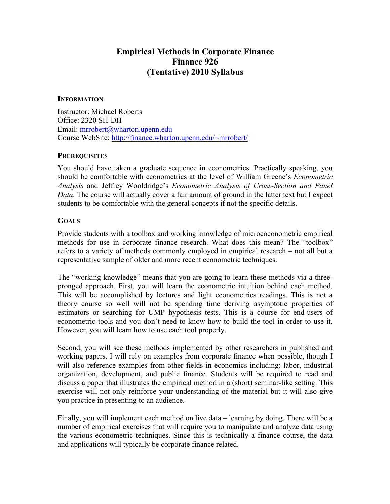# **Empirical Methods in Corporate Finance Finance 926 (Tentative) 2010 Syllabus**

#### **INFORMATION**

Instructor: Michael Roberts Office: 2320 SH-DH Email: mrrobert@wharton.upenn.edu Course WebSite: http://finance.wharton.upenn.edu/~mrrobert/

#### **PREREQUISITES**

You should have taken a graduate sequence in econometrics. Practically speaking, you should be comfortable with econometrics at the level of William Greene's *Econometric Analysis* and Jeffrey Wooldridge's *Econometric Analysis of Cross-Section and Panel Data*. The course will actually cover a fair amount of ground in the latter text but I expect students to be comfortable with the general concepts if not the specific details.

## **GOALS**

Provide students with a toolbox and working knowledge of microeoconometric empirical methods for use in corporate finance research. What does this mean? The "toolbox" refers to a variety of methods commonly employed in empirical research – not all but a representative sample of older and more recent econometric techniques.

The "working knowledge" means that you are going to learn these methods via a threepronged approach. First, you will learn the econometric intuition behind each method. This will be accomplished by lectures and light econometrics readings. This is not a theory course so well will not be spending time deriving asymptotic properties of estimators or searching for UMP hypothesis tests. This is a course for end-users of econometric tools and you don't need to know how to build the tool in order to use it. However, you will learn how to use each tool properly.

Second, you will see these methods implemented by other researchers in published and working papers. I will rely on examples from corporate finance when possible, though I will also reference examples from other fields in economics including: labor, industrial organization, development, and public finance. Students will be required to read and discuss a paper that illustrates the empirical method in a (short) seminar-like setting. This exercise will not only reinforce your understanding of the material but it will also give you practice in presenting to an audience.

Finally, you will implement each method on live data – learning by doing. There will be a number of empirical exercises that will require you to manipulate and analyze data using the various econometric techniques. Since this is technically a finance course, the data and applications will typically be corporate finance related.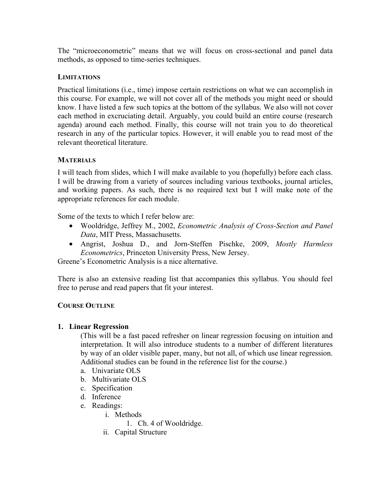The "microeconometric" means that we will focus on cross-sectional and panel data methods, as opposed to time-series techniques.

## **LIMITATIONS**

Practical limitations (i.e., time) impose certain restrictions on what we can accomplish in this course. For example, we will not cover all of the methods you might need or should know. I have listed a few such topics at the bottom of the syllabus. We also will not cover each method in excruciating detail. Arguably, you could build an entire course (research agenda) around each method. Finally, this course will not train you to do theoretical research in any of the particular topics. However, it will enable you to read most of the relevant theoretical literature.

## **MATERIALS**

I will teach from slides, which I will make available to you (hopefully) before each class. I will be drawing from a variety of sources including various textbooks, journal articles, and working papers. As such, there is no required text but I will make note of the appropriate references for each module.

Some of the texts to which I refer below are:

- Wooldridge, Jeffrey M., 2002, *Econometric Analysis of Cross-Section and Panel Data*, MIT Press, Massachusetts.
- Angrist, Joshua D., and Jorn-Steffen Pischke, 2009, *Mostly Harmless Econometrics*, Princeton University Press, New Jersey.

Greene's Econometric Analysis is a nice alternative.

There is also an extensive reading list that accompanies this syllabus. You should feel free to peruse and read papers that fit your interest.

#### **COURSE OUTLINE**

#### **1. Linear Regression**

(This will be a fast paced refresher on linear regression focusing on intuition and interpretation. It will also introduce students to a number of different literatures by way of an older visible paper, many, but not all, of which use linear regression. Additional studies can be found in the reference list for the course.)

- a. Univariate OLS
- b. Multivariate OLS
- c. Specification
- d. Inference
- e. Readings:
	- i. Methods
		- 1. Ch. 4 of Wooldridge.
	- ii. Capital Structure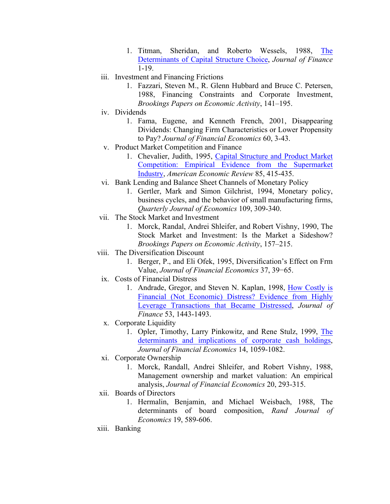- 1. Titman, Sheridan, and Roberto Wessels, 1988, The Determinants of Capital Structure Choice, *Journal of Finance* 1-19.
- iii. Investment and Financing Frictions
	- 1. Fazzari, Steven M., R. Glenn Hubbard and Bruce C. Petersen, 1988, Financing Constraints and Corporate Investment, *Brookings Papers on Economic Activity*, 141–195.
- iv. Dividends
	- 1. Fama, Eugene, and Kenneth French, 2001, Disappearing Dividends: Changing Firm Characteristics or Lower Propensity to Pay? *Journal of Financial Economics* 60, 3-43.
- v. Product Market Competition and Finance
	- 1. Chevalier, Judith, 1995, Capital Structure and Product Market Competition: Empirical Evidence from the Supermarket Industry, *American Economic Review* 85, 415-435.
- vi. Bank Lending and Balance Sheet Channels of Monetary Policy
	- 1. Gertler, Mark and Simon Gilchrist, 1994, Monetary policy, business cycles, and the behavior of small manufacturing firms, *Quarterly Journal of Economics* 109, 309-340.
- vii. The Stock Market and Investment
	- 1. Morck, Randal, Andrei Shleifer, and Robert Vishny, 1990, The Stock Market and Investment: Is the Market a Sideshow? *Brookings Papers on Economic Activity*, 157–215.
- viii. The Diversification Discount
	- 1. Berger, P., and Eli Ofek, 1995, Diversification's Effect on Frm Value, *Journal of Financial Economics* 37, 39−65.
	- ix. Costs of Financial Distress
		- 1. Andrade, Gregor, and Steven N. Kaplan, 1998, How Costly is Financial (Not Economic) Distress? Evidence from Highly Leverage Transactions that Became Distressed, *Journal of Finance* 53, 1443-1493.
	- x. Corporate Liquidity
		- 1. Opler, Timothy, Larry Pinkowitz, and Rene Stulz, 1999, The determinants and implications of corporate cash holdings, *Journal of Financial Economics* 14, 1059-1082.
- xi. Corporate Ownership
	- 1. Morck, Randall, Andrei Shleifer, and Robert Vishny, 1988, Management ownership and market valuation: An empirical analysis, *Journal of Financial Economics* 20, 293-315.
- xii. Boards of Directors
	- 1. Hermalin, Benjamin, and Michael Weisbach, 1988, The determinants of board composition, *Rand Journal of Economics* 19, 589-606.
- xiii. Banking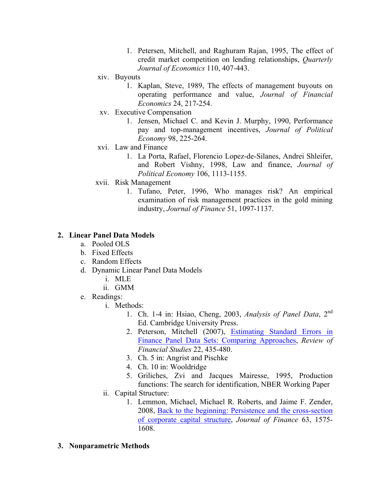- 1. Petersen, Mitchell, and Raghuram Rajan, 1995, The effect of credit market competition on lending relationships, *Quarterly Journal of Economics* 110, 407-443.
- xiv. Buyouts
	- 1. Kaplan, Steve, 1989, The effects of management buyouts on operating performance and value, *Journal of Financial Economics* 24, 217-254.
- xv. Executive Compensation
	- 1. Jensen, Michael C. and Kevin J. Murphy, 1990, Performance pay and top-management incentives, *Journal of Political Economy* 98, 225-264.
- xvi. Law and Finance
	- 1. La Porta, Rafael, Florencio Lopez-de-Silanes, Andrei Shleifer, and Robert Vishny, 1998, Law and finance, *Journal of Political Economy* 106, 1113-1155.
- xvii. Risk Management
	- 1. Tufano, Peter, 1996, Who manages risk? An empirical examination of risk management practices in the gold mining industry, *Journal of Finance* 51, 1097-1137.

## **2. Linear Panel Data Models**

- a. Pooled OLS
- b. Fixed Effects
- c. Random Effects
- d. Dynamic Linear Panel Data Models
	- i. MLE
	- ii. GMM
- e. Readings:
	- i. Methods:
		- 1. Ch. 1-4 in: Hsiao, Cheng, 2003, *Analysis of Panel Data*, 2nd Ed. Cambridge University Press.
		- 2. Peterson, Mitchell (2007), Estimating Standard Errors in Finance Panel Data Sets: Comparing Approaches, *Review of Financial Studies* 22, 435-480.
		- 3. Ch. 5 in: Angrist and Pischke
		- 4. Ch. 10 in: Wooldridge
		- 5. Griliches, Zvi and Jacques Mairesse, 1995, Production functions: The search for identification, NBER Working Paper
	- ii. Capital Structure:
		- 1. Lemmon, Michael, Michael R. Roberts, and Jaime F. Zender, 2008, Back to the beginning: Persistence and the cross-section of corporate capital structure, *Journal of Finance* 63, 1575- 1608.
- **3. Nonparametric Methods**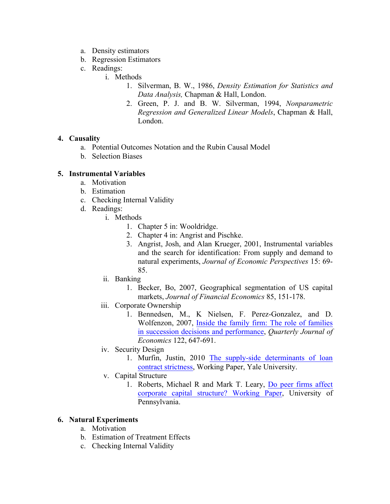- a. Density estimators
- b. Regression Estimators
- c. Readings:
	- i. Methods
		- 1. Silverman, B. W., 1986, *Density Estimation for Statistics and Data Analysis,* Chapman & Hall, London.
		- 2. Green, P. J. and B. W. Silverman, 1994, *Nonparametric Regression and Generalized Linear Models*, Chapman & Hall, London.

# **4. Causality**

- a. Potential Outcomes Notation and the Rubin Causal Model
- b. Selection Biases

# **5. Instrumental Variables**

- a. Motivation
- b. Estimation
- c. Checking Internal Validity
- d. Readings:
	- i. Methods
		- 1. Chapter 5 in: Wooldridge.
		- 2. Chapter 4 in: Angrist and Pischke.
		- 3. Angrist, Josh, and Alan Krueger, 2001, Instrumental variables and the search for identification: From supply and demand to natural experiments, *Journal of Economic Perspectives* 15: 69- 85.
	- ii. Banking
		- 1. Becker, Bo, 2007, Geographical segmentation of US capital markets, *Journal of Financial Economics* 85, 151-178.
	- iii. Corporate Ownership
		- 1. Bennedsen, M., K Nielsen, F. Perez-Gonzalez, and D. Wolfenzon, 2007, Inside the family firm: The role of families in succession decisions and performance, *Quarterly Journal of Economics* 122, 647-691.
	- iv. Security Design
		- 1. Murfin, Justin, 2010 The supply-side determinants of loan contract strictness, Working Paper, Yale University.
	- v. Capital Structure
		- 1. Roberts, Michael R and Mark T. Leary, Do peer firms affect corporate capital structure? Working Paper, University of Pennsylvania.

# **6. Natural Experiments**

- a. Motivation
- b. Estimation of Treatment Effects
- c. Checking Internal Validity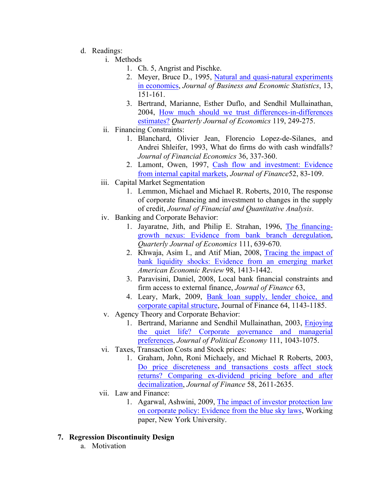- d. Readings:
	- i. Methods
		- 1. Ch. 5, Angrist and Pischke.
		- 2. Meyer, Bruce D., 1995, Natural and quasi-natural experiments in economics, *Journal of Business and Economic Statistics*, 13, 151-161.
		- 3. Bertrand, Marianne, Esther Duflo, and Sendhil Mullainathan, 2004, How much should we trust differences-in-differences estimates? *Quarterly Journal of Economics* 119, 249-275.
	- ii. Financing Constraints:
		- 1. Blanchard, Olivier Jean, Florencio Lopez-de-Silanes, and Andrei Shleifer, 1993, What do firms do with cash windfalls? *Journal of Financial Economics* 36, 337-360.
		- 2. Lamont, Owen, 1997, Cash flow and investment: Evidence from internal capital markets, *Journal of Finance*52, 83-109.
	- iii. Capital Market Segmentation
		- 1. Lemmon, Michael and Michael R. Roberts, 2010, The response of corporate financing and investment to changes in the supply of credit, *Journal of Financial and Quantitative Analysis*.
	- iv. Banking and Corporate Behavior:
		- 1. Jayaratne, Jith, and Philip E. Strahan, 1996, The financinggrowth nexus: Evidence from bank branch deregulation, *Quarterly Journal of Economics* 111, 639-670.
		- 2. Khwaja, Asim I., and Atif Mian, 2008, Tracing the impact of bank liquidity shocks: Evidence from an emerging market *American Economic Review* 98, 1413-1442.
		- 3. Paravisini, Daniel, 2008, Local bank financial constraints and firm access to external finance, *Journal of Finance* 63,
		- 4. Leary, Mark, 2009, Bank loan supply, lender choice, and corporate capital structure, Journal of Finance 64, 1143-1185.
	- v. Agency Theory and Corporate Behavior:
		- 1. Bertrand, Marianne and Sendhil Mullainathan, 2003, Enjoying the quiet life? Corporate governance and managerial preferences, *Journal of Political Economy* 111, 1043-1075.
	- vi. Taxes, Transaction Costs and Stock prices:
		- 1. Graham, John, Roni Michaely, and Michael R Roberts, 2003, Do price discreteness and transactions costs affect stock returns? Comparing ex-dividend pricing before and after decimalization, *Journal of Finance* 58, 2611-2635.
	- vii. Law and Finance:
		- 1. Agarwal, Ashwini, 2009, The impact of investor protection law on corporate policy: Evidence from the blue sky laws, Working paper, New York University.
- **7. Regression Discontinuity Design**
	- a. Motivation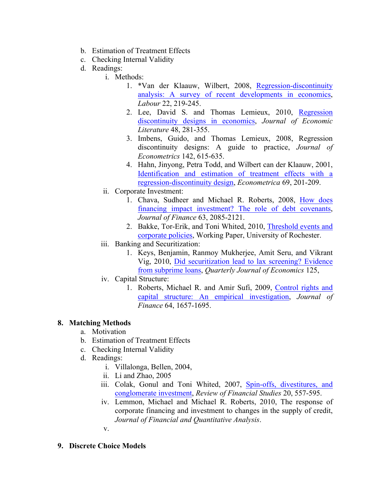- b. Estimation of Treatment Effects
- c. Checking Internal Validity
- d. Readings:
	- i. Methods:
		- 1. \*Van der Klaauw, Wilbert, 2008, Regression-discontinuity analysis: A survey of recent developments in economics, *Labour* 22, 219-245.
		- 2. Lee, David S. and Thomas Lemieux, 2010, Regression discontinuity designs in economics, *Journal of Economic Literature* 48, 281-355.
		- 3. Imbens, Guido, and Thomas Lemieux, 2008, Regression discontinuity designs: A guide to practice, *Journal of Econometrics* 142, 615-635.
		- 4. Hahn, Jinyong, Petra Todd, and Wilbert can der Klaauw, 2001, Identification and estimation of treatment effects with a regression-discontinuity design, *Econometrica* 69, 201-209.
	- ii. Corporate Investment:
		- 1. Chava, Sudheer and Michael R. Roberts, 2008, How does financing impact investment? The role of debt covenants, *Journal of Finance* 63, 2085-2121.
		- 2. Bakke, Tor-Erik, and Toni Whited, 2010, Threshold events and corporate policies, Working Paper, University of Rochester.
	- iii. Banking and Securitization:
		- 1. Keys, Benjamin, Ranmoy Mukherjee, Amit Seru, and Vikrant Vig, 2010, Did securitization lead to lax screening? Evidence from subprime loans, *Quarterly Journal of Economics* 125,
	- iv. Capital Structure:
		- 1. Roberts, Michael R. and Amir Sufi, 2009, Control rights and capital structure: An empirical investigation, *Journal of Finance* 64, 1657-1695.

# **8. Matching Methods**

- a. Motivation
- b. Estimation of Treatment Effects
- c. Checking Internal Validity
- d. Readings:
	- i. Villalonga, Bellen, 2004,
	- ii. Li and Zhao, 2005
	- iii. Colak, Gonul and Toni Whited, 2007, Spin-offs, divestitures, and conglomerate investment, *Review of Financial Studies* 20, 557-595.
	- iv. Lemmon, Michael and Michael R. Roberts, 2010, The response of corporate financing and investment to changes in the supply of credit, *Journal of Financial and Quantitative Analysis*.
	- v.
- **9. Discrete Choice Models**